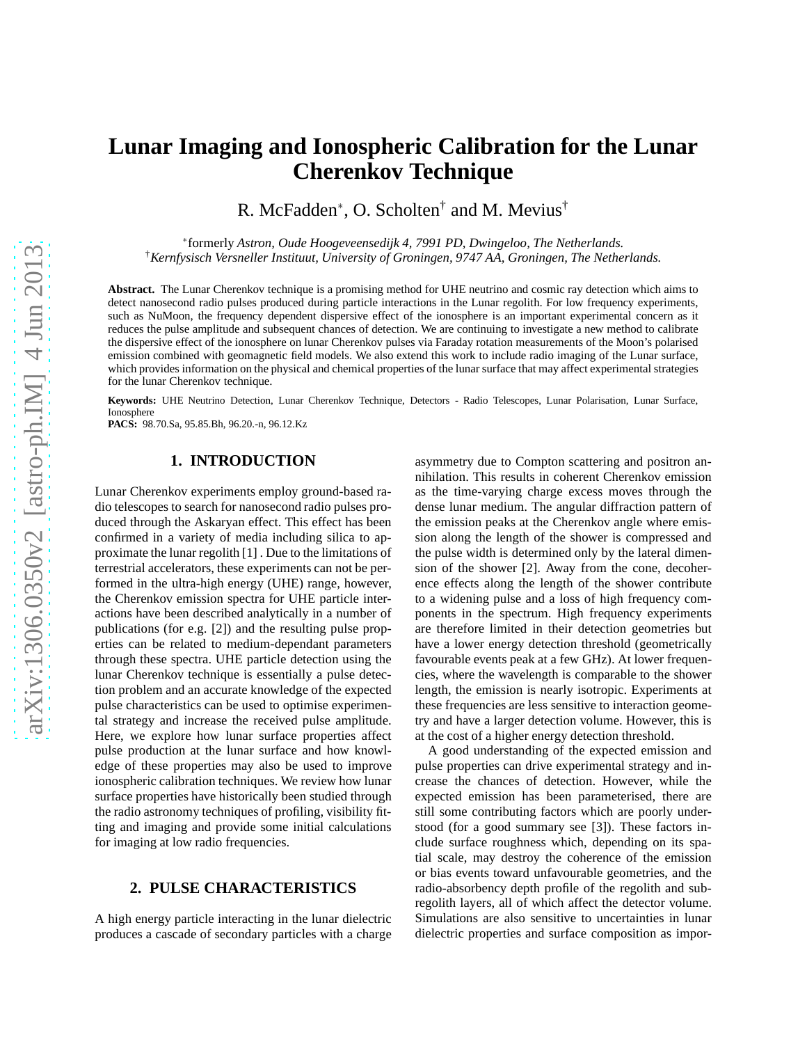# **Lunar Imaging and Ionospheric Calibration for the Lunar Cherenkov Technique**

R. McFadden<sup>∗</sup>, O. Scholten<sup>†</sup> and M. Mevius<sup>†</sup>

∗ formerly *Astron, Oude Hoogeveensedijk 4, 7991 PD, Dwingeloo, The Netherlands.* †*Kernfysisch Versneller Instituut, University of Groningen, 9747 AA, Groningen, The Netherlands.*

**Abstract.** The Lunar Cherenkov technique is a promising method for UHE neutrino and cosmic ray detection which aims to detect nanosecond radio pulses produced during particle interactions in the Lunar regolith. For low frequency experiments, such as NuMoon, the frequency dependent dispersive effect of the ionosphere is an important experimental concern as it reduces the pulse amplitude and subsequent chances of detection. We are continuing to investigate a new method to calibrate the dispersive effect of the ionosphere on lunar Cherenkov pulses via Faraday rotation measurements of the Moon's polarised emission combined with geomagnetic field models. We also extend this work to include radio imaging of the Lunar surface, which provides information on the physical and chemical properties of the lunar surface that may affect experimental strategies for the lunar Cherenkov technique.

**Keywords:** UHE Neutrino Detection, Lunar Cherenkov Technique, Detectors - Radio Telescopes, Lunar Polarisation, Lunar Surface, Ionosphere

**PACS:** 98.70.Sa, 95.85.Bh, 96.20.-n, 96.12.Kz

#### **1. INTRODUCTION**

Lunar Cherenkov experiments employ ground-based radio telescopes to search for nanosecond radio pulses produced through the Askaryan effect. This effect has been confirmed in a variety of media including silica to approximate the lunar regolith [1] . Due to the limitations of terrestrial accelerators, these experiments can not be performed in the ultra-high energy (UHE) range, however, the Cherenkov emission spectra for UHE particle interactions have been described analytically in a number of publications (for e.g. [2]) and the resulting pulse properties can be related to medium-dependant parameters through these spectra. UHE particle detection using the lunar Cherenkov technique is essentially a pulse detection problem and an accurate knowledge of the expected pulse characteristics can be used to optimise experimental strategy and increase the received pulse amplitude. Here, we explore how lunar surface properties affect pulse production at the lunar surface and how knowledge of these properties may also be used to improve ionospheric calibration techniques. We review how lunar surface properties have historically been studied through the radio astronomy techniques of profiling, visibility fitting and imaging and provide some initial calculations for imaging at low radio frequencies.

#### **2. PULSE CHARACTERISTICS**

A high energy particle interacting in the lunar dielectric produces a cascade of secondary particles with a charge asymmetry due to Compton scattering and positron annihilation. This results in coherent Cherenkov emission as the time-varying charge excess moves through the dense lunar medium. The angular diffraction pattern of the emission peaks at the Cherenkov angle where emission along the length of the shower is compressed and the pulse width is determined only by the lateral dimension of the shower [2]. Away from the cone, decoherence effects along the length of the shower contribute to a widening pulse and a loss of high frequency components in the spectrum. High frequency experiments are therefore limited in their detection geometries but have a lower energy detection threshold (geometrically favourable events peak at a few GHz). At lower frequencies, where the wavelength is comparable to the shower length, the emission is nearly isotropic. Experiments at these frequencies are less sensitive to interaction geometry and have a larger detection volume. However, this is at the cost of a higher energy detection threshold.

A good understanding of the expected emission and pulse properties can drive experimental strategy and increase the chances of detection. However, while the expected emission has been parameterised, there are still some contributing factors which are poorly understood (for a good summary see [3]). These factors include surface roughness which, depending on its spatial scale, may destroy the coherence of the emission or bias events toward unfavourable geometries, and the radio-absorbency depth profile of the regolith and subregolith layers, all of which affect the detector volume. Simulations are also sensitive to uncertainties in lunar dielectric properties and surface composition as impor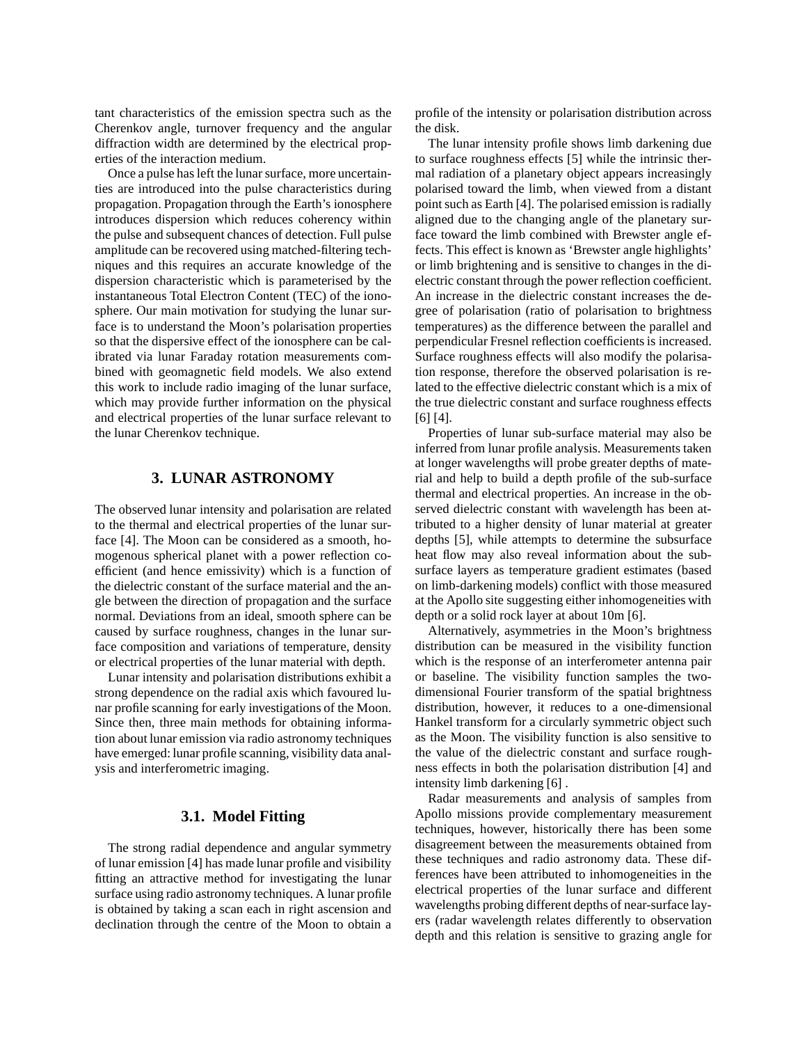tant characteristics of the emission spectra such as the Cherenkov angle, turnover frequency and the angular diffraction width are determined by the electrical properties of the interaction medium.

Once a pulse has left the lunar surface, more uncertainties are introduced into the pulse characteristics during propagation. Propagation through the Earth's ionosphere introduces dispersion which reduces coherency within the pulse and subsequent chances of detection. Full pulse amplitude can be recovered using matched-filtering techniques and this requires an accurate knowledge of the dispersion characteristic which is parameterised by the instantaneous Total Electron Content (TEC) of the ionosphere. Our main motivation for studying the lunar surface is to understand the Moon's polarisation properties so that the dispersive effect of the ionosphere can be calibrated via lunar Faraday rotation measurements combined with geomagnetic field models. We also extend this work to include radio imaging of the lunar surface, which may provide further information on the physical and electrical properties of the lunar surface relevant to the lunar Cherenkov technique.

## **3. LUNAR ASTRONOMY**

The observed lunar intensity and polarisation are related to the thermal and electrical properties of the lunar surface [4]. The Moon can be considered as a smooth, homogenous spherical planet with a power reflection coefficient (and hence emissivity) which is a function of the dielectric constant of the surface material and the angle between the direction of propagation and the surface normal. Deviations from an ideal, smooth sphere can be caused by surface roughness, changes in the lunar surface composition and variations of temperature, density or electrical properties of the lunar material with depth.

Lunar intensity and polarisation distributions exhibit a strong dependence on the radial axis which favoured lunar profile scanning for early investigations of the Moon. Since then, three main methods for obtaining information about lunar emission via radio astronomy techniques have emerged: lunar profile scanning, visibility data analysis and interferometric imaging.

#### **3.1. Model Fitting**

The strong radial dependence and angular symmetry of lunar emission [4] has made lunar profile and visibility fitting an attractive method for investigating the lunar surface using radio astronomy techniques. A lunar profile is obtained by taking a scan each in right ascension and declination through the centre of the Moon to obtain a profile of the intensity or polarisation distribution across the disk.

The lunar intensity profile shows limb darkening due to surface roughness effects [5] while the intrinsic thermal radiation of a planetary object appears increasingly polarised toward the limb, when viewed from a distant point such as Earth [4]. The polarised emission is radially aligned due to the changing angle of the planetary surface toward the limb combined with Brewster angle effects. This effect is known as 'Brewster angle highlights' or limb brightening and is sensitive to changes in the dielectric constant through the power reflection coefficient. An increase in the dielectric constant increases the degree of polarisation (ratio of polarisation to brightness temperatures) as the difference between the parallel and perpendicular Fresnel reflection coefficients is increased. Surface roughness effects will also modify the polarisation response, therefore the observed polarisation is related to the effective dielectric constant which is a mix of the true dielectric constant and surface roughness effects [6] [4].

Properties of lunar sub-surface material may also be inferred from lunar profile analysis. Measurements taken at longer wavelengths will probe greater depths of material and help to build a depth profile of the sub-surface thermal and electrical properties. An increase in the observed dielectric constant with wavelength has been attributed to a higher density of lunar material at greater depths [5], while attempts to determine the subsurface heat flow may also reveal information about the subsurface layers as temperature gradient estimates (based on limb-darkening models) conflict with those measured at the Apollo site suggesting either inhomogeneities with depth or a solid rock layer at about 10m [6].

Alternatively, asymmetries in the Moon's brightness distribution can be measured in the visibility function which is the response of an interferometer antenna pair or baseline. The visibility function samples the twodimensional Fourier transform of the spatial brightness distribution, however, it reduces to a one-dimensional Hankel transform for a circularly symmetric object such as the Moon. The visibility function is also sensitive to the value of the dielectric constant and surface roughness effects in both the polarisation distribution [4] and intensity limb darkening [6] .

Radar measurements and analysis of samples from Apollo missions provide complementary measurement techniques, however, historically there has been some disagreement between the measurements obtained from these techniques and radio astronomy data. These differences have been attributed to inhomogeneities in the electrical properties of the lunar surface and different wavelengths probing different depths of near-surface layers (radar wavelength relates differently to observation depth and this relation is sensitive to grazing angle for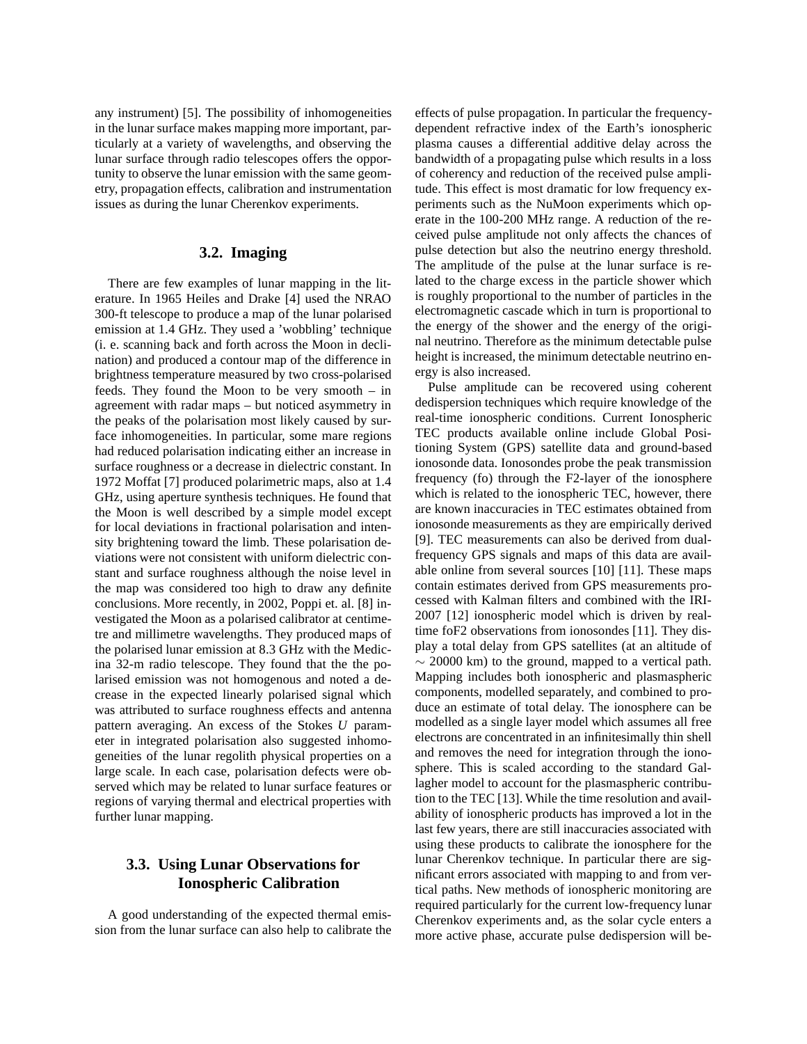any instrument) [5]. The possibility of inhomogeneities in the lunar surface makes mapping more important, particularly at a variety of wavelengths, and observing the lunar surface through radio telescopes offers the opportunity to observe the lunar emission with the same geometry, propagation effects, calibration and instrumentation issues as during the lunar Cherenkov experiments.

#### **3.2. Imaging**

There are few examples of lunar mapping in the literature. In 1965 Heiles and Drake [4] used the NRAO 300-ft telescope to produce a map of the lunar polarised emission at 1.4 GHz. They used a 'wobbling' technique (i. e. scanning back and forth across the Moon in declination) and produced a contour map of the difference in brightness temperature measured by two cross-polarised feeds. They found the Moon to be very smooth – in agreement with radar maps – but noticed asymmetry in the peaks of the polarisation most likely caused by surface inhomogeneities. In particular, some mare regions had reduced polarisation indicating either an increase in surface roughness or a decrease in dielectric constant. In 1972 Moffat [7] produced polarimetric maps, also at 1.4 GHz, using aperture synthesis techniques. He found that the Moon is well described by a simple model except for local deviations in fractional polarisation and intensity brightening toward the limb. These polarisation deviations were not consistent with uniform dielectric constant and surface roughness although the noise level in the map was considered too high to draw any definite conclusions. More recently, in 2002, Poppi et. al. [8] investigated the Moon as a polarised calibrator at centimetre and millimetre wavelengths. They produced maps of the polarised lunar emission at 8.3 GHz with the Medicina 32-m radio telescope. They found that the the polarised emission was not homogenous and noted a decrease in the expected linearly polarised signal which was attributed to surface roughness effects and antenna pattern averaging. An excess of the Stokes *U* parameter in integrated polarisation also suggested inhomogeneities of the lunar regolith physical properties on a large scale. In each case, polarisation defects were observed which may be related to lunar surface features or regions of varying thermal and electrical properties with further lunar mapping.

# **3.3. Using Lunar Observations for Ionospheric Calibration**

A good understanding of the expected thermal emission from the lunar surface can also help to calibrate the effects of pulse propagation. In particular the frequencydependent refractive index of the Earth's ionospheric plasma causes a differential additive delay across the bandwidth of a propagating pulse which results in a loss of coherency and reduction of the received pulse amplitude. This effect is most dramatic for low frequency experiments such as the NuMoon experiments which operate in the 100-200 MHz range. A reduction of the received pulse amplitude not only affects the chances of pulse detection but also the neutrino energy threshold. The amplitude of the pulse at the lunar surface is related to the charge excess in the particle shower which is roughly proportional to the number of particles in the electromagnetic cascade which in turn is proportional to the energy of the shower and the energy of the original neutrino. Therefore as the minimum detectable pulse height is increased, the minimum detectable neutrino energy is also increased.

Pulse amplitude can be recovered using coherent dedispersion techniques which require knowledge of the real-time ionospheric conditions. Current Ionospheric TEC products available online include Global Positioning System (GPS) satellite data and ground-based ionosonde data. Ionosondes probe the peak transmission frequency (fo) through the F2-layer of the ionosphere which is related to the ionospheric TEC, however, there are known inaccuracies in TEC estimates obtained from ionosonde measurements as they are empirically derived [9]. TEC measurements can also be derived from dualfrequency GPS signals and maps of this data are available online from several sources [10] [11]. These maps contain estimates derived from GPS measurements processed with Kalman filters and combined with the IRI-2007 [12] ionospheric model which is driven by realtime foF2 observations from ionosondes [11]. They display a total delay from GPS satellites (at an altitude of  $\sim$  20000 km) to the ground, mapped to a vertical path. Mapping includes both ionospheric and plasmaspheric components, modelled separately, and combined to produce an estimate of total delay. The ionosphere can be modelled as a single layer model which assumes all free electrons are concentrated in an infinitesimally thin shell and removes the need for integration through the ionosphere. This is scaled according to the standard Gallagher model to account for the plasmaspheric contribution to the TEC [13]. While the time resolution and availability of ionospheric products has improved a lot in the last few years, there are still inaccuracies associated with using these products to calibrate the ionosphere for the lunar Cherenkov technique. In particular there are significant errors associated with mapping to and from vertical paths. New methods of ionospheric monitoring are required particularly for the current low-frequency lunar Cherenkov experiments and, as the solar cycle enters a more active phase, accurate pulse dedispersion will be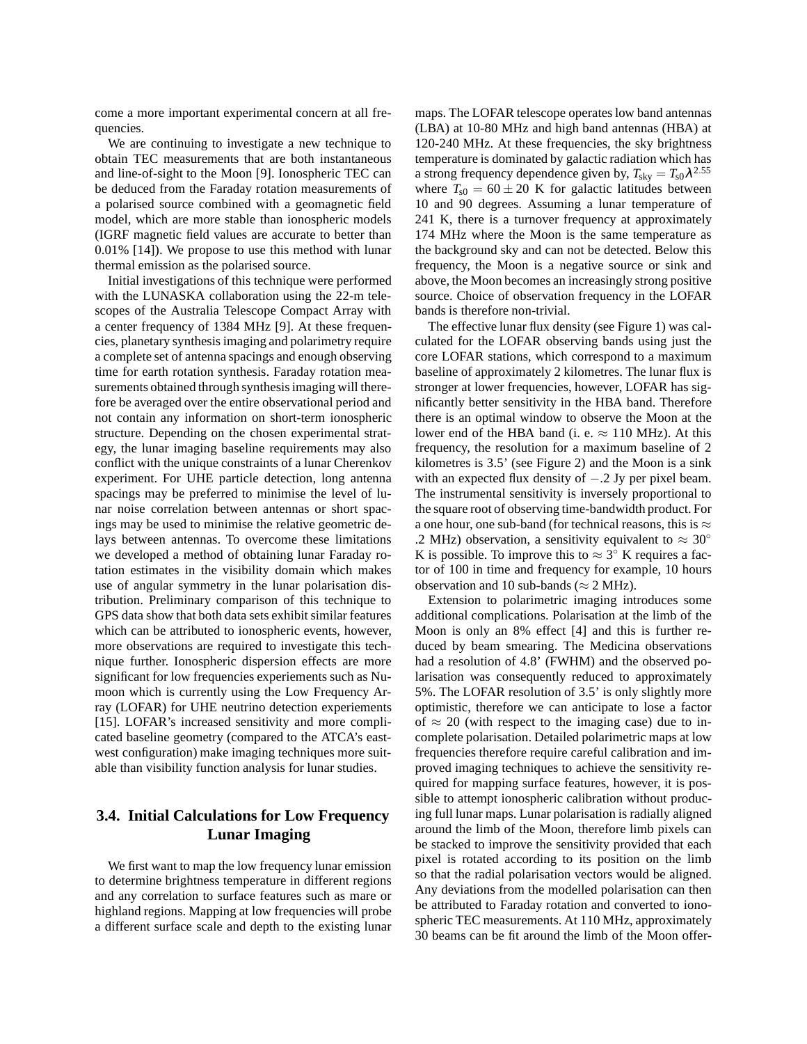come a more important experimental concern at all frequencies.

We are continuing to investigate a new technique to obtain TEC measurements that are both instantaneous and line-of-sight to the Moon [9]. Ionospheric TEC can be deduced from the Faraday rotation measurements of a polarised source combined with a geomagnetic field model, which are more stable than ionospheric models (IGRF magnetic field values are accurate to better than 0.01% [14]). We propose to use this method with lunar thermal emission as the polarised source.

Initial investigations of this technique were performed with the LUNASKA collaboration using the 22-m telescopes of the Australia Telescope Compact Array with a center frequency of 1384 MHz [9]. At these frequencies, planetary synthesis imaging and polarimetry require a complete set of antenna spacings and enough observing time for earth rotation synthesis. Faraday rotation measurements obtained through synthesis imaging will therefore be averaged over the entire observational period and not contain any information on short-term ionospheric structure. Depending on the chosen experimental strategy, the lunar imaging baseline requirements may also conflict with the unique constraints of a lunar Cherenkov experiment. For UHE particle detection, long antenna spacings may be preferred to minimise the level of lunar noise correlation between antennas or short spacings may be used to minimise the relative geometric delays between antennas. To overcome these limitations we developed a method of obtaining lunar Faraday rotation estimates in the visibility domain which makes use of angular symmetry in the lunar polarisation distribution. Preliminary comparison of this technique to GPS data show that both data sets exhibit similar features which can be attributed to ionospheric events, however, more observations are required to investigate this technique further. Ionospheric dispersion effects are more significant for low frequencies experiements such as Numoon which is currently using the Low Frequency Array (LOFAR) for UHE neutrino detection experiements [15]. LOFAR's increased sensitivity and more complicated baseline geometry (compared to the ATCA's eastwest configuration) make imaging techniques more suitable than visibility function analysis for lunar studies.

## **3.4. Initial Calculations for Low Frequency Lunar Imaging**

We first want to map the low frequency lunar emission to determine brightness temperature in different regions and any correlation to surface features such as mare or highland regions. Mapping at low frequencies will probe a different surface scale and depth to the existing lunar maps. The LOFAR telescope operates low band antennas (LBA) at 10-80 MHz and high band antennas (HBA) at 120-240 MHz. At these frequencies, the sky brightness temperature is dominated by galactic radiation which has a strong frequency dependence given by,  $T_{\text{sky}} = T_{\text{s0}} \lambda^{2.55}$ where  $T_{s0} = 60 \pm 20$  K for galactic latitudes between 10 and 90 degrees. Assuming a lunar temperature of 241 K, there is a turnover frequency at approximately 174 MHz where the Moon is the same temperature as the background sky and can not be detected. Below this frequency, the Moon is a negative source or sink and above, the Moon becomes an increasingly strong positive source. Choice of observation frequency in the LOFAR bands is therefore non-trivial.

The effective lunar flux density (see Figure 1) was calculated for the LOFAR observing bands using just the core LOFAR stations, which correspond to a maximum baseline of approximately 2 kilometres. The lunar flux is stronger at lower frequencies, however, LOFAR has significantly better sensitivity in the HBA band. Therefore there is an optimal window to observe the Moon at the lower end of the HBA band (i. e.  $\approx$  110 MHz). At this frequency, the resolution for a maximum baseline of 2 kilometres is 3.5' (see Figure 2) and the Moon is a sink with an expected flux density of −.2 Jy per pixel beam. The instrumental sensitivity is inversely proportional to the square root of observing time-bandwidth product. For a one hour, one sub-band (for technical reasons, this is  $\approx$ .2 MHz) observation, a sensitivity equivalent to  $\approx 30^{\circ}$ K is possible. To improve this to  $\approx 3^{\circ}$  K requires a factor of 100 in time and frequency for example, 10 hours observation and 10 sub-bands ( $\approx$  2 MHz).

Extension to polarimetric imaging introduces some additional complications. Polarisation at the limb of the Moon is only an 8% effect [4] and this is further reduced by beam smearing. The Medicina observations had a resolution of 4.8' (FWHM) and the observed polarisation was consequently reduced to approximately 5%. The LOFAR resolution of 3.5' is only slightly more optimistic, therefore we can anticipate to lose a factor of  $\approx$  20 (with respect to the imaging case) due to incomplete polarisation. Detailed polarimetric maps at low frequencies therefore require careful calibration and improved imaging techniques to achieve the sensitivity required for mapping surface features, however, it is possible to attempt ionospheric calibration without producing full lunar maps. Lunar polarisation is radially aligned around the limb of the Moon, therefore limb pixels can be stacked to improve the sensitivity provided that each pixel is rotated according to its position on the limb so that the radial polarisation vectors would be aligned. Any deviations from the modelled polarisation can then be attributed to Faraday rotation and converted to ionospheric TEC measurements. At 110 MHz, approximately 30 beams can be fit around the limb of the Moon offer-